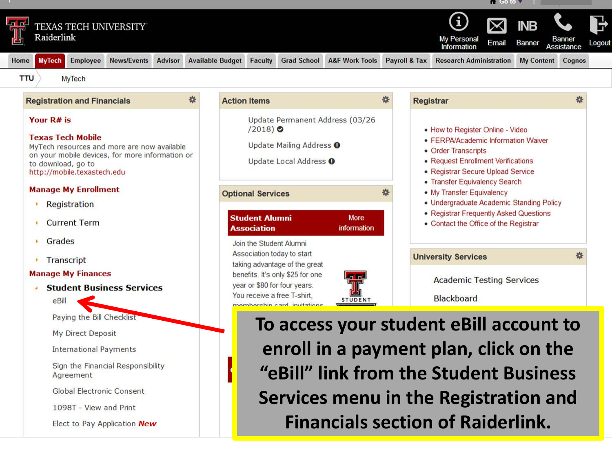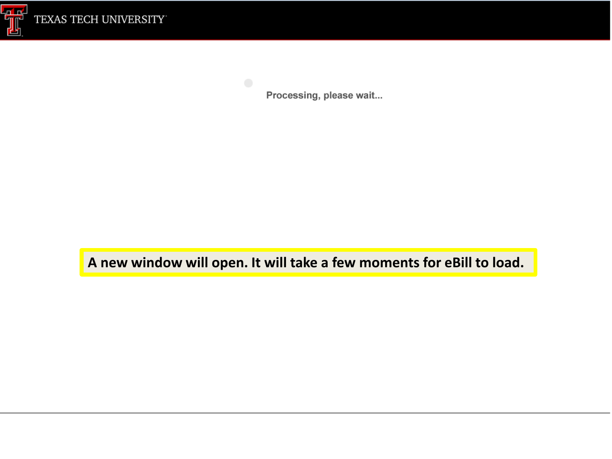

Processing, please wait...

**A new window will open. It will take a few moments for eBill to load.**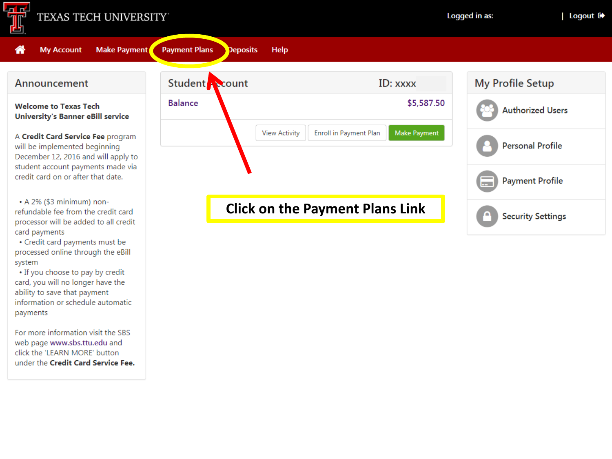

### TEXAS TECH UNIVERSITY



• Credit card payments must be processed online through the eBill system

• If you choose to pay by credit card, you will no longer have the ability to save that payment information or schedule automatic payments

For more information visit the SBS web page www.sbs.ttu.edu and click the 'LEARN MORE' button under the Credit Card Service Fee.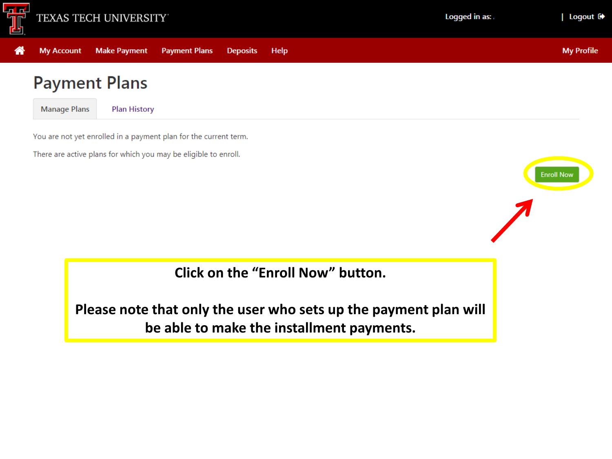

**My Profile** 

**Enroll Now** 

# **Payment Plans**

**Manage Plans Plan History** 

**My Account** 

쏡

**Make Payment** 

You are not yet enrolled in a payment plan for the current term.

**Payment Plans** 

**Deposits** 

Help

There are active plans for which you may be eligible to enroll.

**Click on the "Enroll Now" button.** 

Please note that only the user who sets up the payment plan will be able to make the installment payments.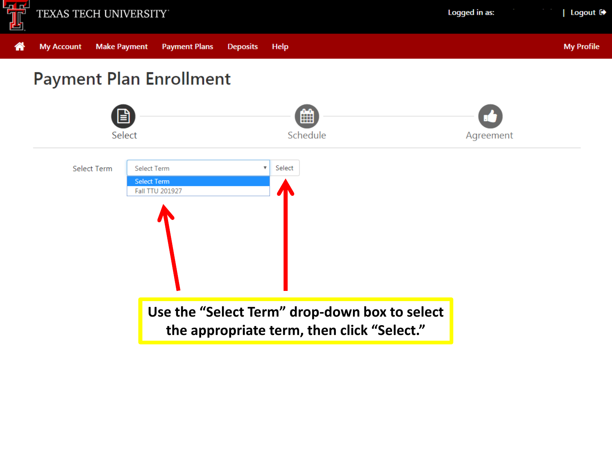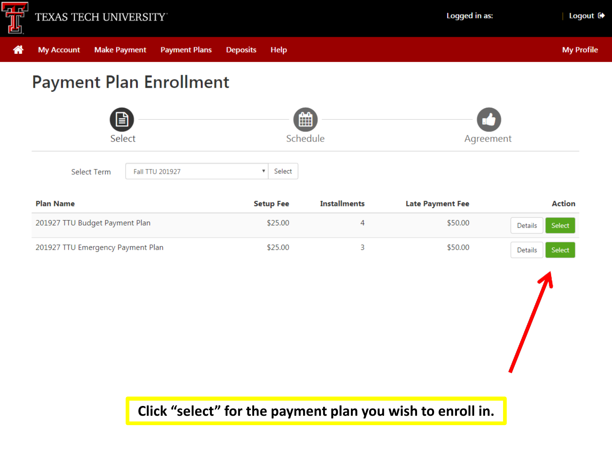

**Make Payment** 

**My Account** 

**Payment Plans** 

**Deposits** 

省

**My Profile** 

**Payment Plan Enrollment** m Select Schedule Agreement Select Term Fall TTU 201927  $\boldsymbol{\mathrm{v}}$ Select

Help

| <b>Plan Name</b>                  | <b>Setup Fee</b> | <b>Installments</b> | <b>Late Payment Fee</b> | Action            |
|-----------------------------------|------------------|---------------------|-------------------------|-------------------|
| 201927 TTU Budget Payment Plan    | \$25.00          |                     | \$50.00                 | Select<br>Details |
| 201927 TTU Emergency Payment Plan | \$25.00          |                     | \$50.00                 | Select<br>Details |

**Click "select" for the payment plan you wish to enroll in.**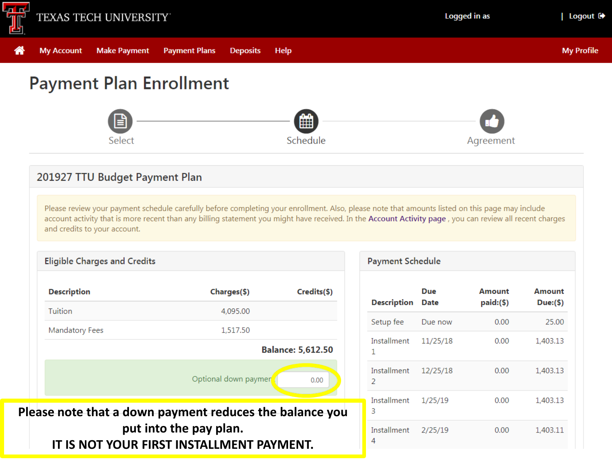

**My Account** 

俗

 $PI$ 

# **Payment Plan Enrollment**

**Payment Plans** 

**Deposits** 

Help

**Make Payment** 



## 201927 TTU Budget Payment Plan

Please review your payment schedule carefully before completing your enrollment. Also, please note that amounts listed on this page may include account activity that is more recent than any billing statement you might have received. In the Account Activity page, you can review all recent charges and credits to your account.

| <b>Description</b>                                    | Charges(\$)          | Credits(\$)              |  |
|-------------------------------------------------------|----------------------|--------------------------|--|
| Tuition                                               | 4,095.00             |                          |  |
| Mandatory Fees                                        | 1,517.50             |                          |  |
|                                                       |                      | <b>Balance: 5,612.50</b> |  |
|                                                       | Optional down paymer | 0.00                     |  |
| ease note that a down payment reduces the balance you |                      |                          |  |

| <b>Payment Schedule</b> |                         |             |                       |                    |  |
|-------------------------|-------------------------|-------------|-----------------------|--------------------|--|
|                         | <b>Description</b>      | Due<br>Date | Amount<br>$paid:(\$)$ | Amount<br>Due:(\$) |  |
|                         | Setup fee               | Due now     | 0.00                  | 25.00              |  |
|                         | Installment<br>1        | 11/25/18    | 0.00                  | 1,403.13           |  |
|                         | Installment<br>2        | 12/25/18    | 0.00                  | 1,403.13           |  |
|                         | Installment<br>3        | 1/25/19     | 0.00                  | 1,403.13           |  |
|                         | <b>Installment</b><br>4 | 2/25/19     | 0.00                  | 1,403.11           |  |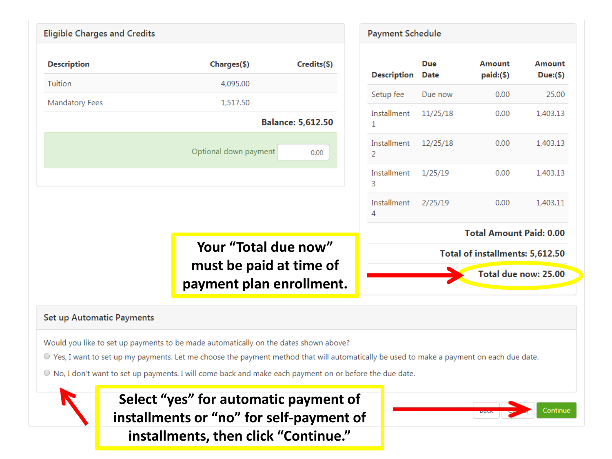| <b>Eligible Charges and Credits</b> |                                                                                                                                                                                                                                                                                                                                               |                          | <b>Payment Schedule</b>       |             |                                 |               |
|-------------------------------------|-----------------------------------------------------------------------------------------------------------------------------------------------------------------------------------------------------------------------------------------------------------------------------------------------------------------------------------------------|--------------------------|-------------------------------|-------------|---------------------------------|---------------|
| <b>Description</b>                  | Charges(\$)                                                                                                                                                                                                                                                                                                                                   | Credits(\$)              |                               | <b>Due</b>  | <b>Amount</b>                   | <b>Amount</b> |
| Tuition                             | 4,095.00                                                                                                                                                                                                                                                                                                                                      |                          | <b>Description</b>            | <b>Date</b> | $paid:(\$)$                     | Due:(\$)      |
| <b>Mandatory Fees</b>               | 1,517.50                                                                                                                                                                                                                                                                                                                                      |                          | Setup fee                     | Due now     | 0.00                            | 25.00         |
|                                     |                                                                                                                                                                                                                                                                                                                                               | <b>Balance: 5,612.50</b> | Installment<br>1              | 11/25/18    | 0.00                            | 1,403.13      |
|                                     | Optional down payment                                                                                                                                                                                                                                                                                                                         | 0.00                     | Installment<br>$\overline{2}$ | 12/25/18    | 0.00                            | 1,403.13      |
|                                     |                                                                                                                                                                                                                                                                                                                                               |                          | Installment<br>3              | 1/25/19     | 0.00                            | 1,403.13      |
|                                     |                                                                                                                                                                                                                                                                                                                                               |                          | Installment<br>4              | 2/25/19     | 0.00                            | 1,403.11      |
|                                     |                                                                                                                                                                                                                                                                                                                                               |                          |                               |             | <b>Total Amount Paid: 0.00</b>  |               |
|                                     | Your "Total due now"                                                                                                                                                                                                                                                                                                                          |                          |                               |             | Total of installments: 5,612.50 |               |
|                                     | must be paid at time of<br>payment plan enrollment.                                                                                                                                                                                                                                                                                           |                          |                               |             | Total due now: 25.00            |               |
| <b>Set up Automatic Payments</b>    | Would you like to set up payments to be made automatically on the dates shown above?<br>● Yes, I want to set up my payments. Let me choose the payment method that will automatically be used to make a payment on each due date.<br>● No, I don't want to set up payments. I will come back and make each payment on or before the due date. |                          |                               |             |                                 |               |
|                                     | Select "yes" for automatic payment of<br>installments or "no" for self-payment of<br>installments, then click "Continue."                                                                                                                                                                                                                     |                          |                               |             |                                 | Continue      |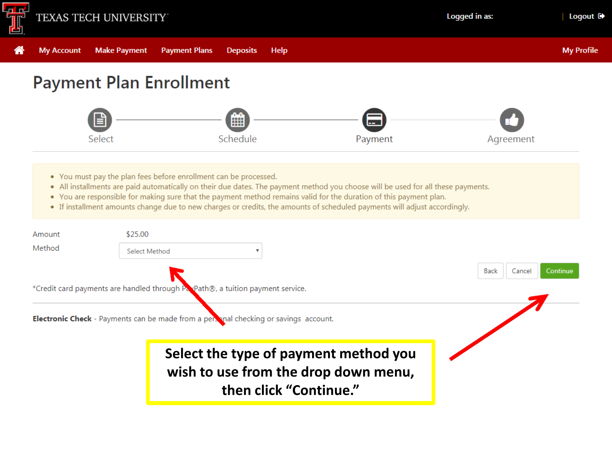

# **Payment Plan Enrollment**



- You must pay the plan fees before enrollment can be processed.
- . All installments are paid automatically on their due dates. The payment method you choose will be used for all these payments.
- You are responsible for making sure that the payment method remains valid for the duration of this payment plan.
- If installment amounts change due to new charges or credits, the amounts of scheduled payments will adjust accordingly.

| Amount | \$25.00                                                                                                 |                            |
|--------|---------------------------------------------------------------------------------------------------------|----------------------------|
| Method | Select Method                                                                                           |                            |
|        |                                                                                                         | Back<br>Continue<br>Cancel |
|        | *Credit card payments are handled through Pappath®, a tuition payment service.                          |                            |
|        | <b>Electronic Check</b> - Payments can be made from a personal checking or savings account.             |                            |
|        | Select the type of payment method you<br>wish to use from the drop down menu,<br>then click "Continue." |                            |

**My Profile**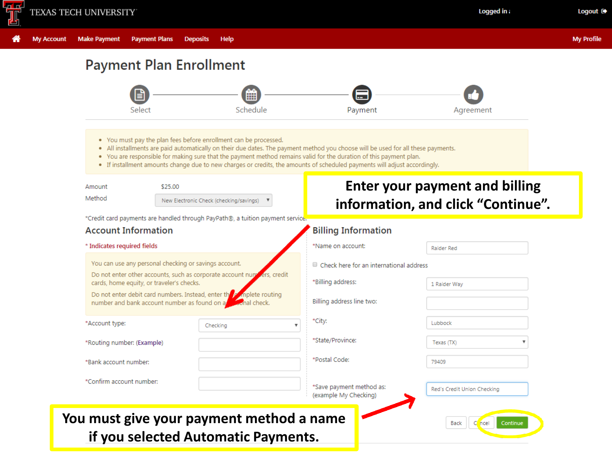

**My Account** 

**Make Payment** 

Help

## **Payment Plan Enrollment**

**Payment Plans** 



- . You must pay the plan fees before enrollment can be processed.
- . All installments are paid automatically on their due dates. The payment method you choose will be used for all these payments.
- . You are responsible for making sure that the payment method remains valid for the duration of this payment plan.
- If installment amounts change due to new charges or credits, the amounts of scheduled payments will adjust accordingly.

| Amount | \$25.00                                 |  |  |
|--------|-----------------------------------------|--|--|
| Method | New Electronic Check (checking/savings) |  |  |

**Enter your payment and billing** information, and click "Continue".

\*Credit card payments are handled through PayPath®, a tuition payment service

### **Account Information**

#### \* Indicates required fields

You can use any personal checking or savings account.

Do not enter other accounts, such as corporate account num rs, credit cards, home equity, or traveler's checks.

Do not enter debit card numbers. Instead, enter the mplete routing number and bank account number as found on a whal check.

| *Account type: |  |
|----------------|--|
|                |  |
|                |  |

\*Routing number: (Example)

\*Bank account number:

| *Confirm account number: |  |  |
|--------------------------|--|--|
|--------------------------|--|--|

# You must give your payment method a name if you selected Automatic Payments.

Checking

### **Billing Information** \*Name on account: **Raider Red** Check here for an international address \*Billing address: 1 Raider Way Billing address line two: \*City: Lubbock \*State/Province: Texas (TX) \*Postal Code: 79409 \*Save payment method as: Red's Credit Union Checking (example My Checking)  $C$  ncel Continue Back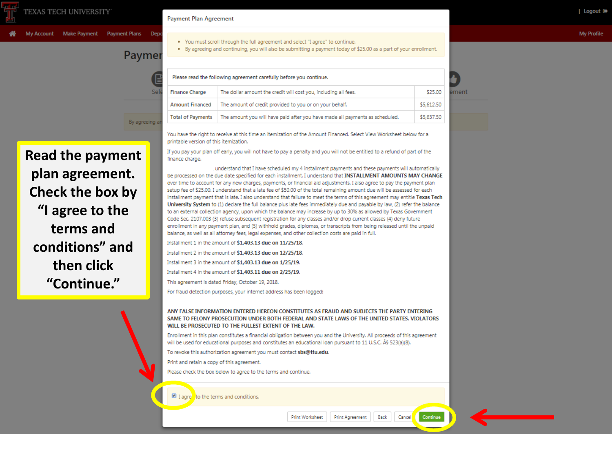**Read the payment** 

conditions" and

then click

"Continue."

## Paymer

#### **Payment Plan Agreement**

. By agreeing and continuing, you will also be submitting a payment today of \$25.00 as a part of your enrollment.

| Please read the following agreement carefully before you continue. |                                                                              |            |  |
|--------------------------------------------------------------------|------------------------------------------------------------------------------|------------|--|
| <b>Finance Charge</b>                                              | The dollar amount the credit will cost you, including all fees.              | \$25.00    |  |
| <b>Amount Financed</b>                                             | The amount of credit provided to you or on your behalf.                      | \$5,612.50 |  |
| <b>Total of Payments</b>                                           | The amount you will have paid after you have made all payments as scheduled. | \$5,637.50 |  |

You have the right to receive at this time an itemization of the Amount Financed. Select View Worksheet below for a printable version of this itemization.

If you pay your plan off early, you will not have to pay a penalty and you will not be entitled to a refund of part of the finance charge.

understand that I have scheduled my 4 installment payments and these payments will automatically be processed on the due date specified for each installment. I understand that INSTALLMENT AMOUNTS MAY CHANGE over time to account for any new charges, payments, or financial aid adjustments. I also agree to pay the payment plan setup fee of \$25.00. I understand that a late fee of \$50.00 of the total remaining amount due will be assessed for each installment payment that is late. I also understand that failure to meet the terms of this agreement may entitle Texas Tech University System to (1) declare the full balance plus late fees immediately due and payable by law, (2) refer the balance to an external collection agency, upon which the balance may increase by up to 30% as allowed by Texas Government Code Sec. 2107.003 (3) refuse subsequent registration for any classes and/or drop current classes (4) deny future enrollment in any payment plan, and (5) withhold grades, diplomas, or transcripts from being released until the unpaid balance, as well as all attorney fees, legal expenses, and other collection costs are paid in full.

Installment 2 in the amount of \$1,403.13 due on 12/25/18.

Installment 3 in the amount of \$1,403.13 due on 1/25/19.

Installment 4 in the amount of \$1,403.11 due on 2/25/19.

For fraud detection purposes, your internet address has been logged:

ANY FALSE INFORMATION ENTERED HEREON CONSTITUTES AS FRAUD AND SUBJECTS THE PARTY ENTERING SAME TO FELONY PROSECUTION UNDER BOTH FEDERAL AND STATE LAWS OF THE UNITED STATES. VIOLATORS WILL BE PROSECUTED TO THE FULLEST EXTENT OF THE LAW.

Enrollment in this plan constitutes a financial obligation between you and the University. All proceeds of this agreement will be used for educational purposes and constitutes an educational loan pursuant to 11 U.S.C. § 523(a)(8).

To revoke this authorization agreement you must contact sbs@ttu.edu.

Print and retain a copy of this agreement.

Please check the box below to agree to the terms and continue.

I agre to the terms and conditions

#### **My Profile**

ment

plan agreement. Check the box by "I agree to the terms and

3v agreeing.

Installment 1 in the amount of \$1,403.13 due on 11/25/18.

This agreement is dated Friday, October 19, 2018.

Print Worksheet

Print Agreement

Back

Continue Cancel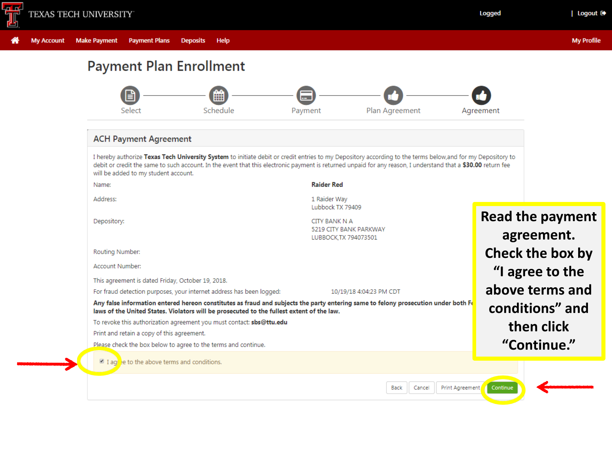

Logged

## **Payment Plan Enrollment**



#### **ACH Payment Agreement**

I hereby authorize Texas Tech University System to initiate debit or credit entries to my Depository according to the terms below, and for my Depository to debit or credit the same to such account. In the event that this electronic payment is returned unpaid for any reason, I understand that a \$30.00 return fee will be added to my student account.

Name:

Address:

Depository:

#### **Raider Red**

1 Raider Way Lubbock TX 79409

**CITY BANK N A** 5219 CITY BANK PARKWAY LUBBOCK.TX 794073501

Routing Number:

Account Number:

This agreement is dated Friday, October 19, 2018.

For fraud detection purposes, your internet address has been logged:

10/19/18 4:04:23 PM CDT

Any false information entered hereon constitutes as fraud and subjects the party entering same to felony prosecution under both  $F_0$ laws of the United States. Violators will be prosecuted to the fullest extent of the law.

To revoke this authorization agreement you must contact: sbs@ttu.edu

Print and retain a copy of this agreement.

Please check the box below to agree to the terms and continue.

 $\Box$  I aghet to the above terms and conditions.

| Logout D+

**Read the payment** agreement. Check the box by "I agree to the above terms and conditions" and then click "Continue."

Continue